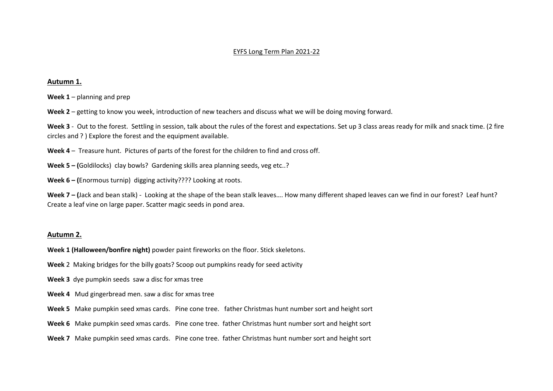#### EYFS Long Term Plan 2021-22

#### **Autumn 1.**

**Week 1** – planning and prep

**Week 2** – getting to know you week, introduction of new teachers and discuss what we will be doing moving forward.

**Week 3** - Out to the forest. Settling in session, talk about the rules of the forest and expectations. Set up 3 class areas ready for milk and snack time. (2 fire circles and ? ) Explore the forest and the equipment available.

**Week 4** – Treasure hunt. Pictures of parts of the forest for the children to find and cross off.

**Week 5 – (**Goldilocks) clay bowls? Gardening skills area planning seeds, veg etc..?

**Week 6 – (**Enormous turnip) digging activity???? Looking at roots.

Week 7 – (Jack and bean stalk) - Looking at the shape of the bean stalk leaves.... How many different shaped leaves can we find in our forest? Leaf hunt? Create a leaf vine on large paper. Scatter magic seeds in pond area.

#### **Autumn 2.**

**Week 1 (Halloween/bonfire night)** powder paint fireworks on the floor. Stick skeletons.

- **Week** 2 Making bridges for the billy goats? Scoop out pumpkins ready for seed activity
- **Week 3** dye pumpkin seeds saw a disc for xmas tree
- **Week 4** Mud gingerbread men. saw a disc for xmas tree
- **Week 5** Make pumpkin seed xmas cards. Pine cone tree. father Christmas hunt number sort and height sort
- **Week 6** Make pumpkin seed xmas cards. Pine cone tree. father Christmas hunt number sort and height sort
- **Week 7** Make pumpkin seed xmas cards. Pine cone tree. father Christmas hunt number sort and height sort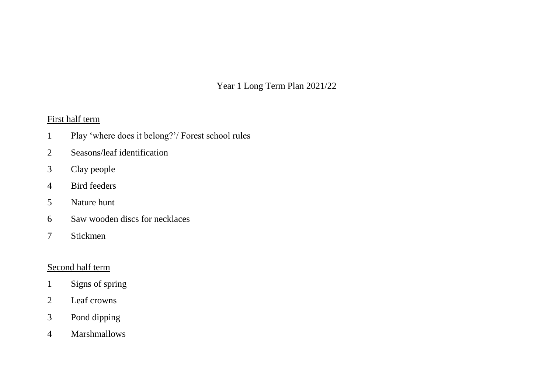Year 1 Long Term Plan 2021/22

First half term

- Play 'where does it belong?'/ Forest school rules
- Seasons/leaf identification
- Clay people
- Bird feeders
- Nature hunt
- Saw wooden discs for necklaces
- Stickmen

### Second half term

- Signs of spring
- Leaf crowns
- Pond dipping
- Marshmallows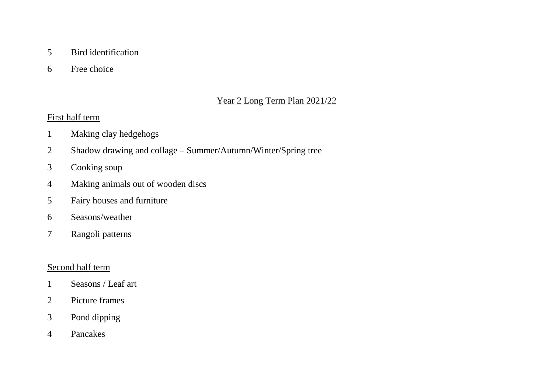### Bird identification

Free choice

## Year 2 Long Term Plan 2021/22

### First half term

- Making clay hedgehogs
- Shadow drawing and collage Summer/Autumn/Winter/Spring tree
- Cooking soup
- Making animals out of wooden discs
- Fairy houses and furniture
- Seasons/weather
- Rangoli patterns

### Second half term

- Seasons / Leaf art
- Picture frames
- Pond dipping
- Pancakes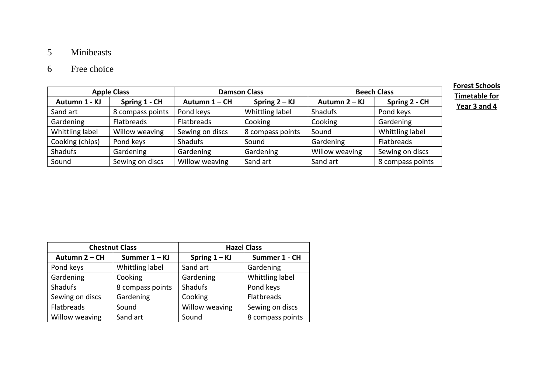# 5 Minibeasts

# 6 Free choice

| <b>Apple Class</b> |                   | <b>Damson Class</b> |                  | <b>Beech Class</b> |                  |
|--------------------|-------------------|---------------------|------------------|--------------------|------------------|
| Autumn 1 - KJ      | Spring 1 - CH     | Autumn 1 - CH       | Spring $2 - KJ$  | Autumn 2 – KJ      | Spring 2 - CH    |
| Sand art           | 8 compass points  | Pond keys           | Whittling label  | <b>Shadufs</b>     | Pond keys        |
| Gardening          | <b>Flatbreads</b> | <b>Flatbreads</b>   | Cooking          | Cooking            | Gardening        |
| Whittling label    | Willow weaving    | Sewing on discs     | 8 compass points | Sound              | Whittling label  |
| Cooking (chips)    | Pond keys         | <b>Shadufs</b>      | Sound            | Gardening          | Flatbreads       |
| <b>Shadufs</b>     | Gardening         | Gardening           | Gardening        | Willow weaving     | Sewing on discs  |
| Sound              | Sewing on discs   | Willow weaving      | Sand art         | Sand art           | 8 compass points |

**Forest Schools Timetable for Year 3 and 4**

|                 | <b>Chestnut Class</b> | <b>Hazel Class</b> |                  |  |
|-----------------|-----------------------|--------------------|------------------|--|
| Autumn 2 - CH   | Summer 1 - KJ         | Spring $1 - KJ$    | Summer 1 - CH    |  |
| Pond keys       | Whittling label       | Sand art           | Gardening        |  |
| Gardening       | Cooking               | Gardening          | Whittling label  |  |
| <b>Shadufs</b>  | 8 compass points      | Shadufs            | Pond keys        |  |
| Sewing on discs | Gardening             | Cooking            | Flatbreads       |  |
| Flatbreads      | Sound                 | Willow weaving     | Sewing on discs  |  |
| Willow weaving  | Sand art              | Sound              | 8 compass points |  |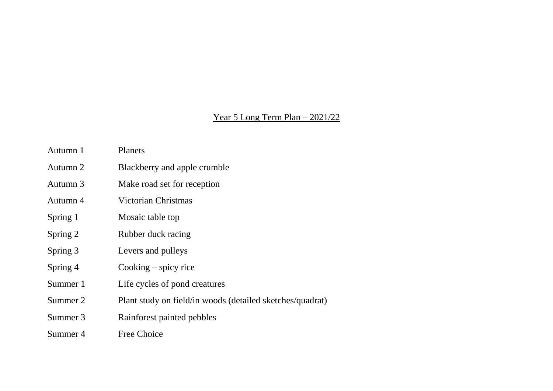# Year 5 Long Term Plan – 2021/22

| Autumn 1 | Planets                                                   |
|----------|-----------------------------------------------------------|
| Autumn 2 | Blackberry and apple crumble                              |
| Autumn 3 | Make road set for reception                               |
| Autumn 4 | Victorian Christmas                                       |
| Spring 1 | Mosaic table top                                          |
| Spring 2 | Rubber duck racing                                        |
| Spring 3 | Levers and pulleys                                        |
| Spring 4 | Cooking $-$ spicy rice                                    |
| Summer 1 | Life cycles of pond creatures                             |
| Summer 2 | Plant study on field/in woods (detailed sketches/quadrat) |
| Summer 3 | Rainforest painted pebbles                                |
| Summer 4 | Free Choice                                               |